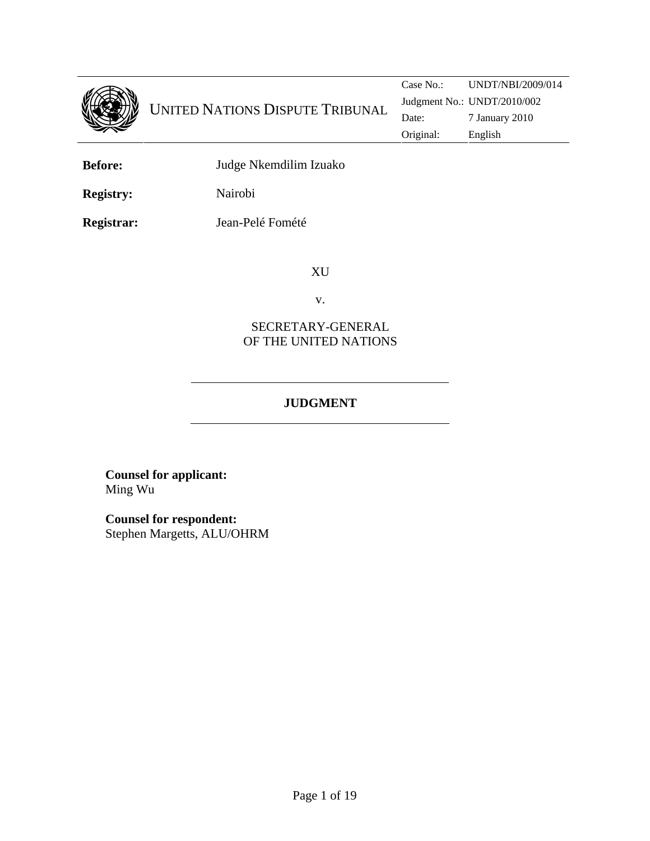

**Before:** Judge Nkemdilim Izuako

**Registry:** Nairobi

**Registrar:** Jean-Pelé Fomété

XU

v.

### SECRETARY-GENERAL OF THE UNITED NATIONS

## **JUDGMENT**

**Counsel for applicant:**  Ming Wu

**Counsel for respondent:** Stephen Margetts, ALU/OHRM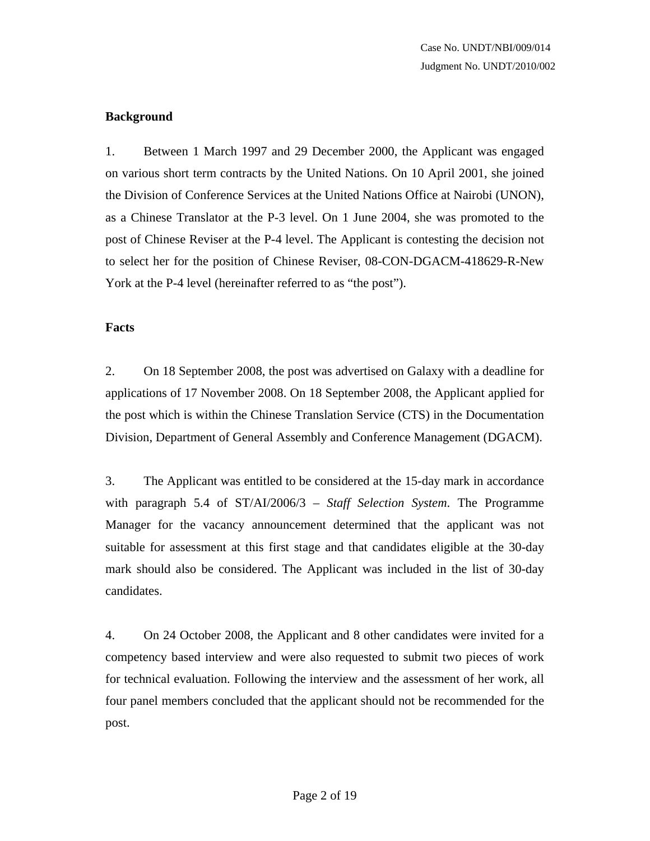#### **Background**

1. Between 1 March 1997 and 29 December 2000, the Applicant was engaged on various short term contracts by the United Nations. On 10 April 2001, she joined the Division of Conference Services at the United Nations Office at Nairobi (UNON), as a Chinese Translator at the P-3 level. On 1 June 2004, she was promoted to the post of Chinese Reviser at the P-4 level. The Applicant is contesting the decision not to select her for the position of Chinese Reviser, 08-CON-DGACM-418629-R-New York at the P-4 level (hereinafter referred to as "the post").

#### **Facts**

2. On 18 September 2008, the post was advertised on Galaxy with a deadline for applications of 17 November 2008. On 18 September 2008, the Applicant applied for the post which is within the Chinese Translation Service (CTS) in the Documentation Division, Department of General Assembly and Conference Management (DGACM).

3. The Applicant was entitled to be considered at the 15-day mark in accordance with paragraph 5.4 of ST/AI/2006/3 – *Staff Selection System*. The Programme Manager for the vacancy announcement determined that the applicant was not suitable for assessment at this first stage and that candidates eligible at the 30-day mark should also be considered. The Applicant was included in the list of 30-day candidates.

4. On 24 October 2008, the Applicant and 8 other candidates were invited for a competency based interview and were also requested to submit two pieces of work for technical evaluation. Following the interview and the assessment of her work, all four panel members concluded that the applicant should not be recommended for the post.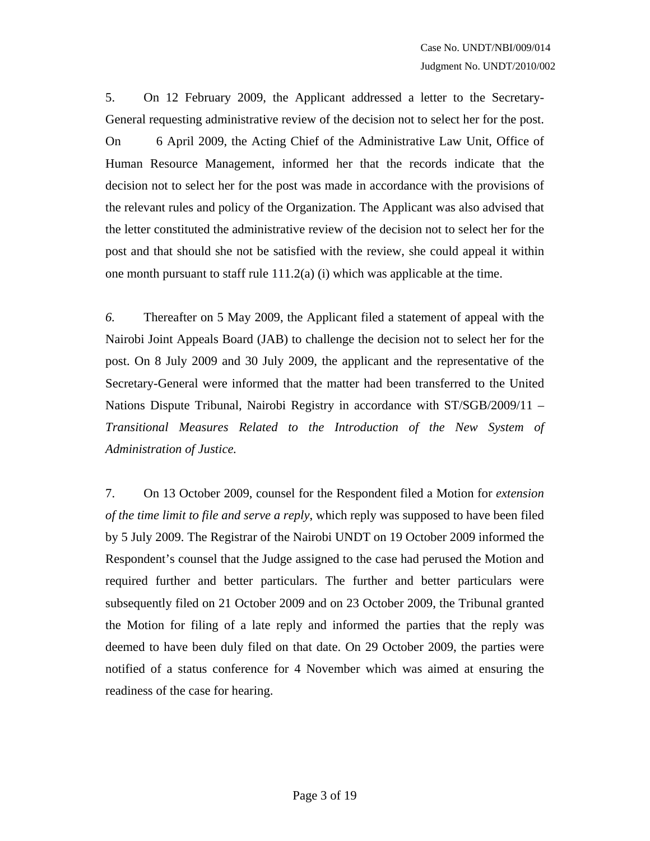5. On 12 February 2009, the Applicant addressed a letter to the Secretary-General requesting administrative review of the decision not to select her for the post. On 6 April 2009, the Acting Chief of the Administrative Law Unit, Office of Human Resource Management, informed her that the records indicate that the decision not to select her for the post was made in accordance with the provisions of the relevant rules and policy of the Organization. The Applicant was also advised that the letter constituted the administrative review of the decision not to select her for the post and that should she not be satisfied with the review, she could appeal it within one month pursuant to staff rule 111.2(a) (i) which was applicable at the time.

*6.* Thereafter on 5 May 2009, the Applicant filed a statement of appeal with the Nairobi Joint Appeals Board (JAB) to challenge the decision not to select her for the post. On 8 July 2009 and 30 July 2009, the applicant and the representative of the Secretary-General were informed that the matter had been transferred to the United Nations Dispute Tribunal, Nairobi Registry in accordance with ST/SGB/2009/11 – *Transitional Measures Related to the Introduction of the New System of Administration of Justice.* 

7. On 13 October 2009, counsel for the Respondent filed a Motion for *extension of the time limit to file and serve a reply*, which reply was supposed to have been filed by 5 July 2009. The Registrar of the Nairobi UNDT on 19 October 2009 informed the Respondent's counsel that the Judge assigned to the case had perused the Motion and required further and better particulars. The further and better particulars were subsequently filed on 21 October 2009 and on 23 October 2009, the Tribunal granted the Motion for filing of a late reply and informed the parties that the reply was deemed to have been duly filed on that date. On 29 October 2009, the parties were notified of a status conference for 4 November which was aimed at ensuring the readiness of the case for hearing.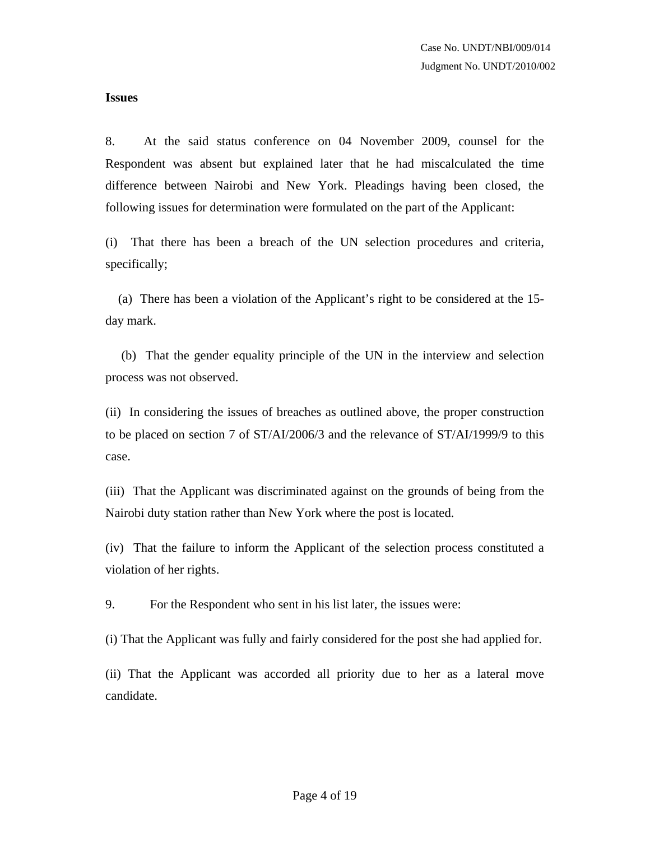#### **Issues**

8. At the said status conference on 04 November 2009, counsel for the Respondent was absent but explained later that he had miscalculated the time difference between Nairobi and New York. Pleadings having been closed, the following issues for determination were formulated on the part of the Applicant:

(i) That there has been a breach of the UN selection procedures and criteria, specifically;

 (a) There has been a violation of the Applicant's right to be considered at the 15 day mark.

 (b) That the gender equality principle of the UN in the interview and selection process was not observed.

(ii) In considering the issues of breaches as outlined above, the proper construction to be placed on section 7 of ST/AI/2006/3 and the relevance of ST/AI/1999/9 to this case.

(iii) That the Applicant was discriminated against on the grounds of being from the Nairobi duty station rather than New York where the post is located.

(iv) That the failure to inform the Applicant of the selection process constituted a violation of her rights.

9. For the Respondent who sent in his list later, the issues were:

(i) That the Applicant was fully and fairly considered for the post she had applied for.

(ii) That the Applicant was accorded all priority due to her as a lateral move candidate.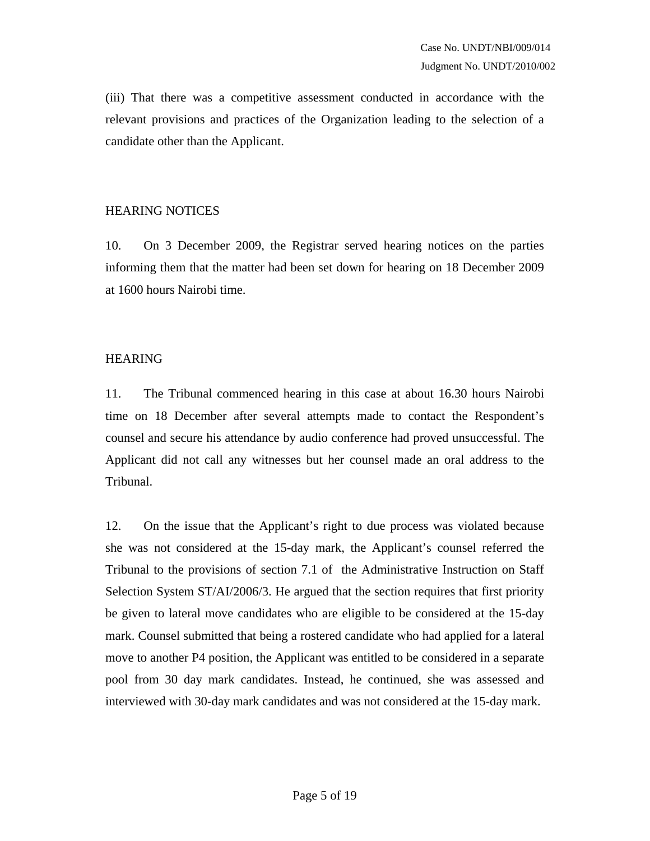(iii) That there was a competitive assessment conducted in accordance with the relevant provisions and practices of the Organization leading to the selection of a candidate other than the Applicant.

#### HEARING NOTICES

10. On 3 December 2009, the Registrar served hearing notices on the parties informing them that the matter had been set down for hearing on 18 December 2009 at 1600 hours Nairobi time.

### HEARING

11. The Tribunal commenced hearing in this case at about 16.30 hours Nairobi time on 18 December after several attempts made to contact the Respondent's counsel and secure his attendance by audio conference had proved unsuccessful. The Applicant did not call any witnesses but her counsel made an oral address to the Tribunal.

12. On the issue that the Applicant's right to due process was violated because she was not considered at the 15-day mark, the Applicant's counsel referred the Tribunal to the provisions of section 7.1 of the Administrative Instruction on Staff Selection System ST/AI/2006/3. He argued that the section requires that first priority be given to lateral move candidates who are eligible to be considered at the 15-day mark. Counsel submitted that being a rostered candidate who had applied for a lateral move to another P4 position, the Applicant was entitled to be considered in a separate pool from 30 day mark candidates. Instead, he continued, she was assessed and interviewed with 30-day mark candidates and was not considered at the 15-day mark.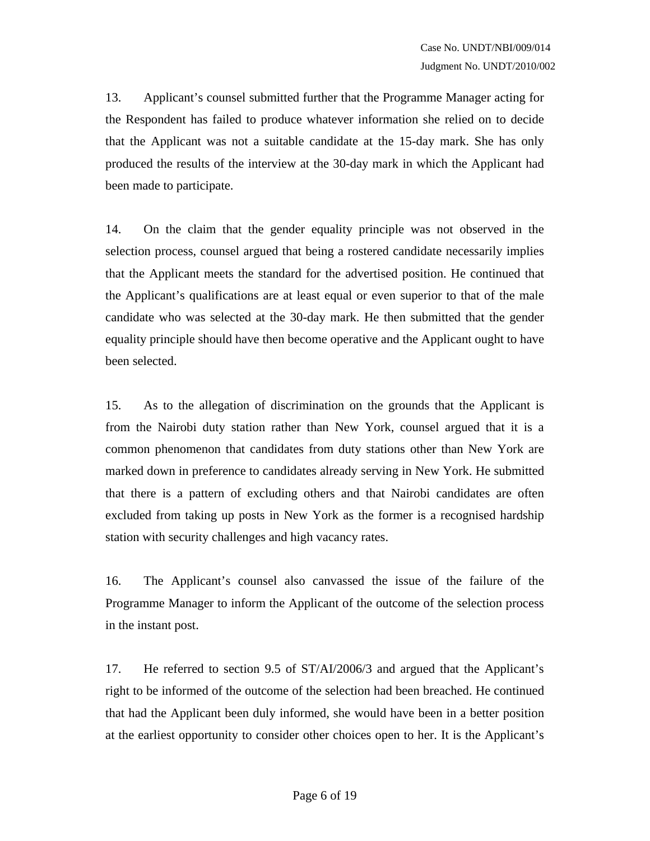13. Applicant's counsel submitted further that the Programme Manager acting for the Respondent has failed to produce whatever information she relied on to decide that the Applicant was not a suitable candidate at the 15-day mark. She has only produced the results of the interview at the 30-day mark in which the Applicant had been made to participate.

14. On the claim that the gender equality principle was not observed in the selection process, counsel argued that being a rostered candidate necessarily implies that the Applicant meets the standard for the advertised position. He continued that the Applicant's qualifications are at least equal or even superior to that of the male candidate who was selected at the 30-day mark. He then submitted that the gender equality principle should have then become operative and the Applicant ought to have been selected.

15. As to the allegation of discrimination on the grounds that the Applicant is from the Nairobi duty station rather than New York, counsel argued that it is a common phenomenon that candidates from duty stations other than New York are marked down in preference to candidates already serving in New York. He submitted that there is a pattern of excluding others and that Nairobi candidates are often excluded from taking up posts in New York as the former is a recognised hardship station with security challenges and high vacancy rates.

16. The Applicant's counsel also canvassed the issue of the failure of the Programme Manager to inform the Applicant of the outcome of the selection process in the instant post.

17. He referred to section 9.5 of ST/AI/2006/3 and argued that the Applicant's right to be informed of the outcome of the selection had been breached. He continued that had the Applicant been duly informed, she would have been in a better position at the earliest opportunity to consider other choices open to her. It is the Applicant's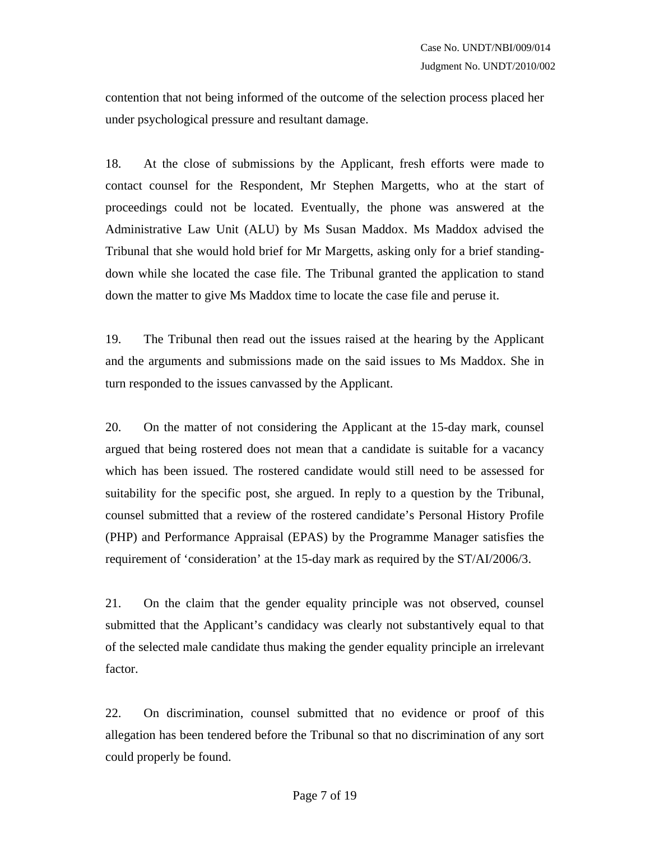contention that not being informed of the outcome of the selection process placed her under psychological pressure and resultant damage.

18. At the close of submissions by the Applicant, fresh efforts were made to contact counsel for the Respondent, Mr Stephen Margetts, who at the start of proceedings could not be located. Eventually, the phone was answered at the Administrative Law Unit (ALU) by Ms Susan Maddox. Ms Maddox advised the Tribunal that she would hold brief for Mr Margetts, asking only for a brief standingdown while she located the case file. The Tribunal granted the application to stand down the matter to give Ms Maddox time to locate the case file and peruse it.

19. The Tribunal then read out the issues raised at the hearing by the Applicant and the arguments and submissions made on the said issues to Ms Maddox. She in turn responded to the issues canvassed by the Applicant.

20. On the matter of not considering the Applicant at the 15-day mark, counsel argued that being rostered does not mean that a candidate is suitable for a vacancy which has been issued. The rostered candidate would still need to be assessed for suitability for the specific post, she argued. In reply to a question by the Tribunal, counsel submitted that a review of the rostered candidate's Personal History Profile (PHP) and Performance Appraisal (EPAS) by the Programme Manager satisfies the requirement of 'consideration' at the 15-day mark as required by the ST/AI/2006/3.

21. On the claim that the gender equality principle was not observed, counsel submitted that the Applicant's candidacy was clearly not substantively equal to that of the selected male candidate thus making the gender equality principle an irrelevant factor.

22. On discrimination, counsel submitted that no evidence or proof of this allegation has been tendered before the Tribunal so that no discrimination of any sort could properly be found.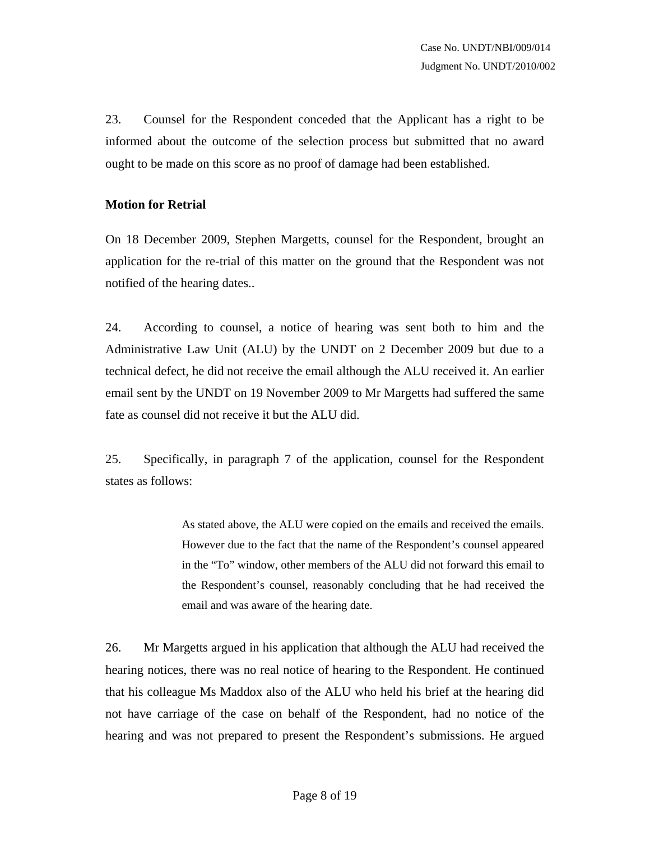23. Counsel for the Respondent conceded that the Applicant has a right to be informed about the outcome of the selection process but submitted that no award ought to be made on this score as no proof of damage had been established.

#### **Motion for Retrial**

On 18 December 2009, Stephen Margetts, counsel for the Respondent, brought an application for the re-trial of this matter on the ground that the Respondent was not notified of the hearing dates..

24. According to counsel, a notice of hearing was sent both to him and the Administrative Law Unit (ALU) by the UNDT on 2 December 2009 but due to a technical defect, he did not receive the email although the ALU received it. An earlier email sent by the UNDT on 19 November 2009 to Mr Margetts had suffered the same fate as counsel did not receive it but the ALU did.

25. Specifically, in paragraph 7 of the application, counsel for the Respondent states as follows:

> As stated above, the ALU were copied on the emails and received the emails. However due to the fact that the name of the Respondent's counsel appeared in the "To" window, other members of the ALU did not forward this email to the Respondent's counsel, reasonably concluding that he had received the email and was aware of the hearing date.

26. Mr Margetts argued in his application that although the ALU had received the hearing notices, there was no real notice of hearing to the Respondent. He continued that his colleague Ms Maddox also of the ALU who held his brief at the hearing did not have carriage of the case on behalf of the Respondent, had no notice of the hearing and was not prepared to present the Respondent's submissions. He argued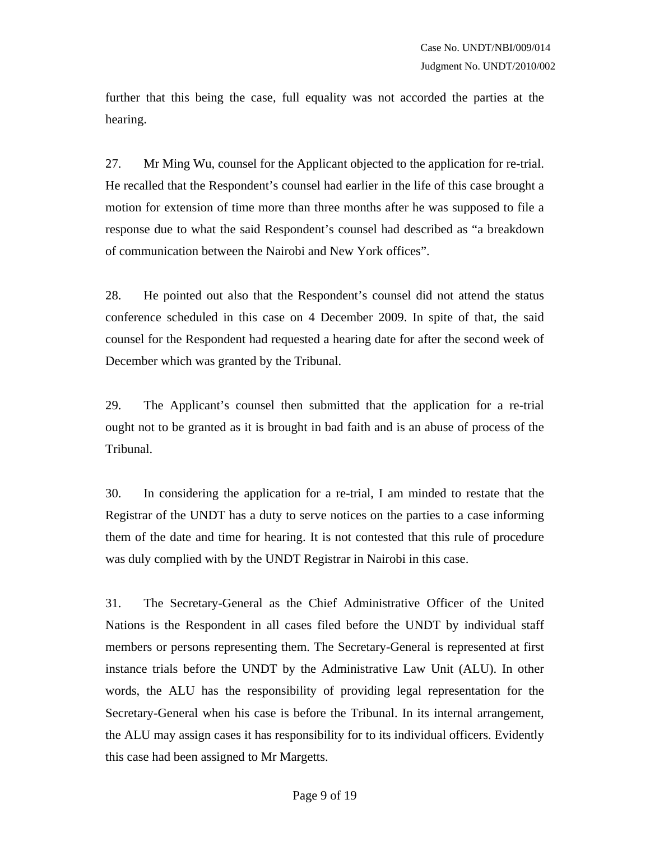further that this being the case, full equality was not accorded the parties at the hearing.

27. Mr Ming Wu, counsel for the Applicant objected to the application for re-trial. He recalled that the Respondent's counsel had earlier in the life of this case brought a motion for extension of time more than three months after he was supposed to file a response due to what the said Respondent's counsel had described as "a breakdown of communication between the Nairobi and New York offices".

28. He pointed out also that the Respondent's counsel did not attend the status conference scheduled in this case on 4 December 2009. In spite of that, the said counsel for the Respondent had requested a hearing date for after the second week of December which was granted by the Tribunal.

29. The Applicant's counsel then submitted that the application for a re-trial ought not to be granted as it is brought in bad faith and is an abuse of process of the Tribunal.

30. In considering the application for a re-trial, I am minded to restate that the Registrar of the UNDT has a duty to serve notices on the parties to a case informing them of the date and time for hearing. It is not contested that this rule of procedure was duly complied with by the UNDT Registrar in Nairobi in this case.

31. The Secretary-General as the Chief Administrative Officer of the United Nations is the Respondent in all cases filed before the UNDT by individual staff members or persons representing them. The Secretary-General is represented at first instance trials before the UNDT by the Administrative Law Unit (ALU). In other words, the ALU has the responsibility of providing legal representation for the Secretary-General when his case is before the Tribunal. In its internal arrangement, the ALU may assign cases it has responsibility for to its individual officers. Evidently this case had been assigned to Mr Margetts.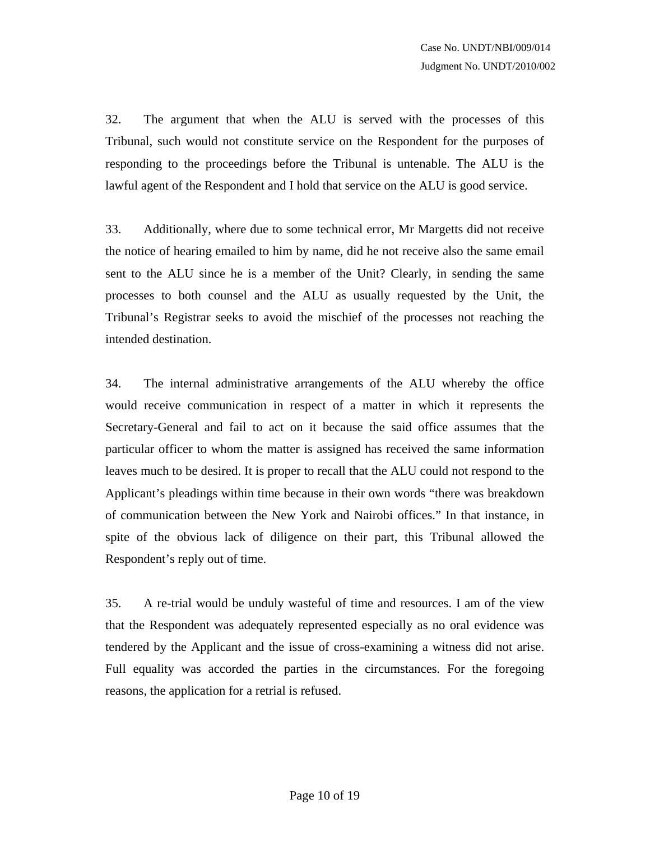32. The argument that when the ALU is served with the processes of this Tribunal, such would not constitute service on the Respondent for the purposes of responding to the proceedings before the Tribunal is untenable. The ALU is the lawful agent of the Respondent and I hold that service on the ALU is good service.

33. Additionally, where due to some technical error, Mr Margetts did not receive the notice of hearing emailed to him by name, did he not receive also the same email sent to the ALU since he is a member of the Unit? Clearly, in sending the same processes to both counsel and the ALU as usually requested by the Unit, the Tribunal's Registrar seeks to avoid the mischief of the processes not reaching the intended destination.

34. The internal administrative arrangements of the ALU whereby the office would receive communication in respect of a matter in which it represents the Secretary-General and fail to act on it because the said office assumes that the particular officer to whom the matter is assigned has received the same information leaves much to be desired. It is proper to recall that the ALU could not respond to the Applicant's pleadings within time because in their own words "there was breakdown of communication between the New York and Nairobi offices." In that instance, in spite of the obvious lack of diligence on their part, this Tribunal allowed the Respondent's reply out of time.

35. A re-trial would be unduly wasteful of time and resources. I am of the view that the Respondent was adequately represented especially as no oral evidence was tendered by the Applicant and the issue of cross-examining a witness did not arise. Full equality was accorded the parties in the circumstances. For the foregoing reasons, the application for a retrial is refused.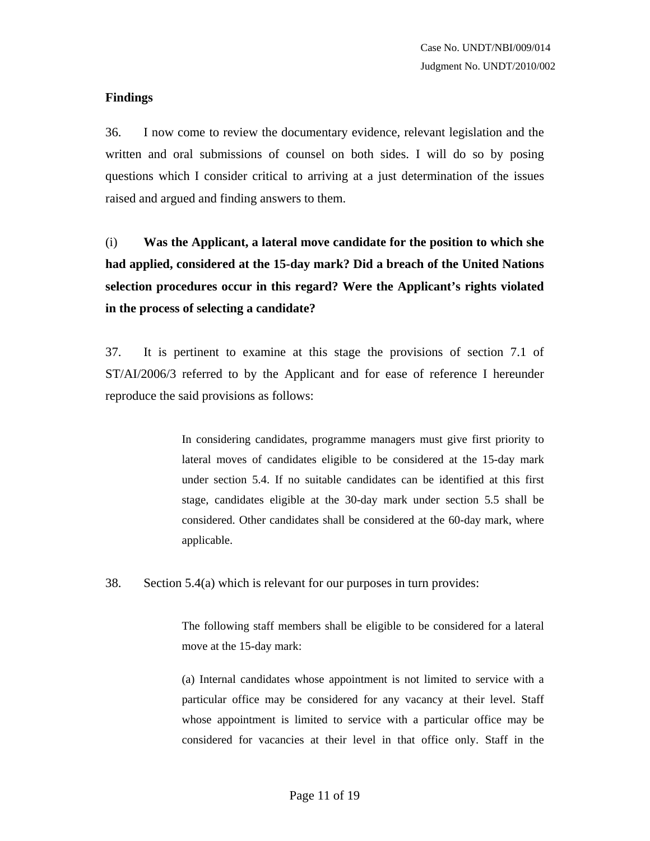#### **Findings**

36. I now come to review the documentary evidence, relevant legislation and the written and oral submissions of counsel on both sides. I will do so by posing questions which I consider critical to arriving at a just determination of the issues raised and argued and finding answers to them.

(i) **Was the Applicant, a lateral move candidate for the position to which she had applied, considered at the 15-day mark? Did a breach of the United Nations selection procedures occur in this regard? Were the Applicant's rights violated in the process of selecting a candidate?**

37. It is pertinent to examine at this stage the provisions of section 7.1 of ST/AI/2006/3 referred to by the Applicant and for ease of reference I hereunder reproduce the said provisions as follows:

> In considering candidates, programme managers must give first priority to lateral moves of candidates eligible to be considered at the 15-day mark under section 5.4. If no suitable candidates can be identified at this first stage, candidates eligible at the 30-day mark under section 5.5 shall be considered. Other candidates shall be considered at the 60-day mark, where applicable.

38. Section 5.4(a) which is relevant for our purposes in turn provides:

The following staff members shall be eligible to be considered for a lateral move at the 15-day mark:

(a) Internal candidates whose appointment is not limited to service with a particular office may be considered for any vacancy at their level. Staff whose appointment is limited to service with a particular office may be considered for vacancies at their level in that office only. Staff in the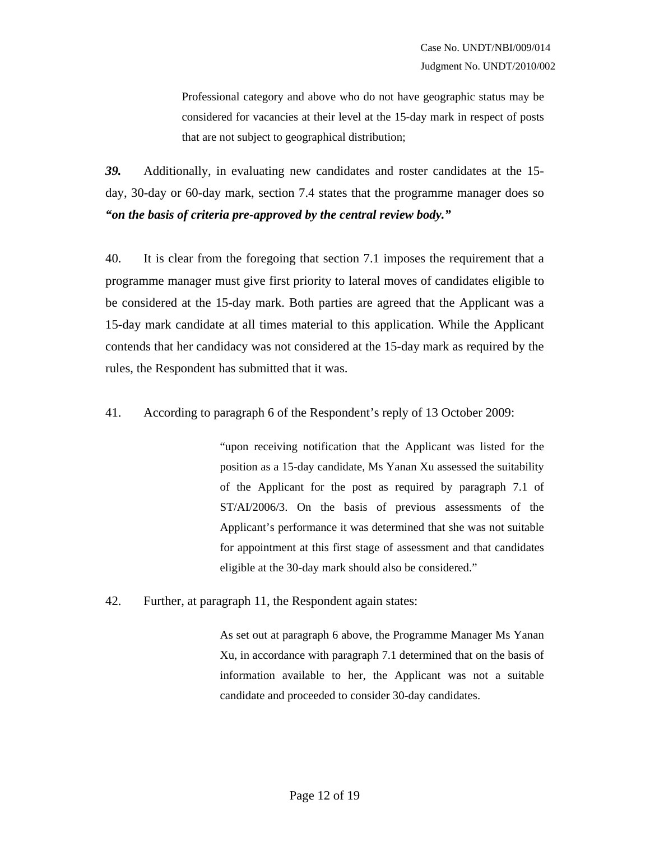Professional category and above who do not have geographic status may be considered for vacancies at their level at the 15-day mark in respect of posts that are not subject to geographical distribution;

*39.* Additionally, in evaluating new candidates and roster candidates at the 15 day, 30-day or 60-day mark, section 7.4 states that the programme manager does so *"on the basis of criteria pre-approved by the central review body."* 

40. It is clear from the foregoing that section 7.1 imposes the requirement that a programme manager must give first priority to lateral moves of candidates eligible to be considered at the 15-day mark. Both parties are agreed that the Applicant was a 15-day mark candidate at all times material to this application. While the Applicant contends that her candidacy was not considered at the 15-day mark as required by the rules, the Respondent has submitted that it was.

41. According to paragraph 6 of the Respondent's reply of 13 October 2009:

"upon receiving notification that the Applicant was listed for the position as a 15-day candidate, Ms Yanan Xu assessed the suitability of the Applicant for the post as required by paragraph 7.1 of ST/AI/2006/3. On the basis of previous assessments of the Applicant's performance it was determined that she was not suitable for appointment at this first stage of assessment and that candidates eligible at the 30-day mark should also be considered."

42. Further, at paragraph 11, the Respondent again states:

As set out at paragraph 6 above, the Programme Manager Ms Yanan Xu, in accordance with paragraph 7.1 determined that on the basis of information available to her, the Applicant was not a suitable candidate and proceeded to consider 30-day candidates.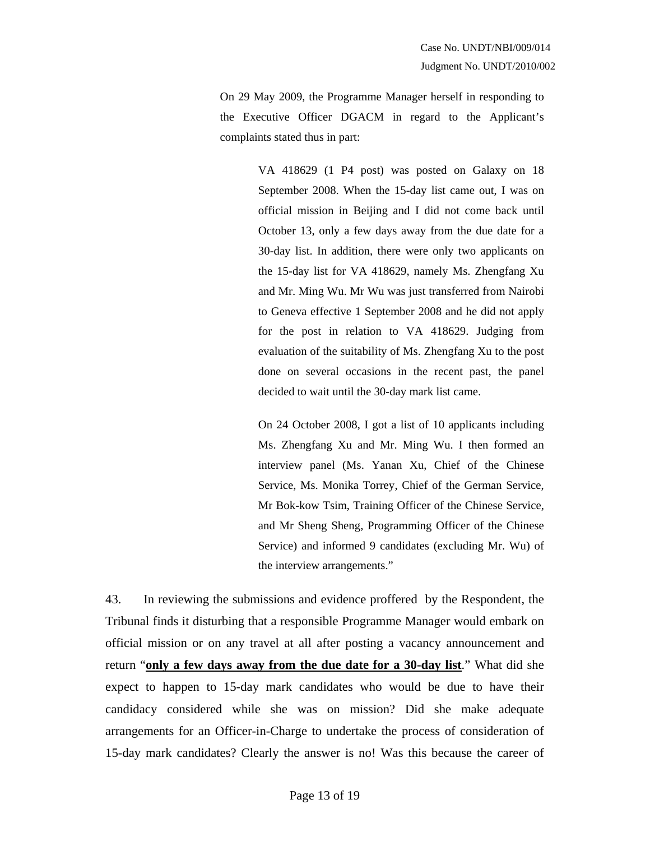On 29 May 2009, the Programme Manager herself in responding to the Executive Officer DGACM in regard to the Applicant's complaints stated thus in part:

> VA 418629 (1 P4 post) was posted on Galaxy on 18 September 2008. When the 15-day list came out, I was on official mission in Beijing and I did not come back until October 13, only a few days away from the due date for a 30-day list. In addition, there were only two applicants on the 15-day list for VA 418629, namely Ms. Zhengfang Xu and Mr. Ming Wu. Mr Wu was just transferred from Nairobi to Geneva effective 1 September 2008 and he did not apply for the post in relation to VA 418629. Judging from evaluation of the suitability of Ms. Zhengfang Xu to the post done on several occasions in the recent past, the panel decided to wait until the 30-day mark list came.

> On 24 October 2008, I got a list of 10 applicants including Ms. Zhengfang Xu and Mr. Ming Wu. I then formed an interview panel (Ms. Yanan Xu, Chief of the Chinese Service, Ms. Monika Torrey, Chief of the German Service, Mr Bok-kow Tsim, Training Officer of the Chinese Service, and Mr Sheng Sheng, Programming Officer of the Chinese Service) and informed 9 candidates (excluding Mr. Wu) of the interview arrangements."

43. In reviewing the submissions and evidence proffered by the Respondent, the Tribunal finds it disturbing that a responsible Programme Manager would embark on official mission or on any travel at all after posting a vacancy announcement and return "**only a few days away from the due date for a 30-day list**." What did she expect to happen to 15-day mark candidates who would be due to have their candidacy considered while she was on mission? Did she make adequate arrangements for an Officer-in-Charge to undertake the process of consideration of 15-day mark candidates? Clearly the answer is no! Was this because the career of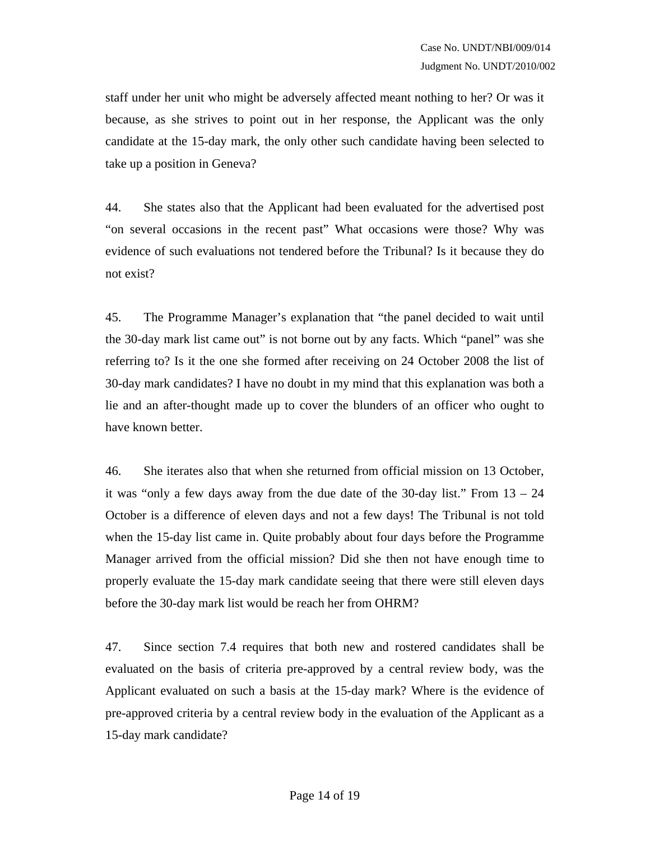staff under her unit who might be adversely affected meant nothing to her? Or was it because, as she strives to point out in her response, the Applicant was the only candidate at the 15-day mark, the only other such candidate having been selected to take up a position in Geneva?

44. She states also that the Applicant had been evaluated for the advertised post "on several occasions in the recent past" What occasions were those? Why was evidence of such evaluations not tendered before the Tribunal? Is it because they do not exist?

45. The Programme Manager's explanation that "the panel decided to wait until the 30-day mark list came out" is not borne out by any facts. Which "panel" was she referring to? Is it the one she formed after receiving on 24 October 2008 the list of 30-day mark candidates? I have no doubt in my mind that this explanation was both a lie and an after-thought made up to cover the blunders of an officer who ought to have known better.

46. She iterates also that when she returned from official mission on 13 October, it was "only a few days away from the due date of the 30-day list." From 13 – 24 October is a difference of eleven days and not a few days! The Tribunal is not told when the 15-day list came in. Quite probably about four days before the Programme Manager arrived from the official mission? Did she then not have enough time to properly evaluate the 15-day mark candidate seeing that there were still eleven days before the 30-day mark list would be reach her from OHRM?

47. Since section 7.4 requires that both new and rostered candidates shall be evaluated on the basis of criteria pre-approved by a central review body, was the Applicant evaluated on such a basis at the 15-day mark? Where is the evidence of pre-approved criteria by a central review body in the evaluation of the Applicant as a 15-day mark candidate?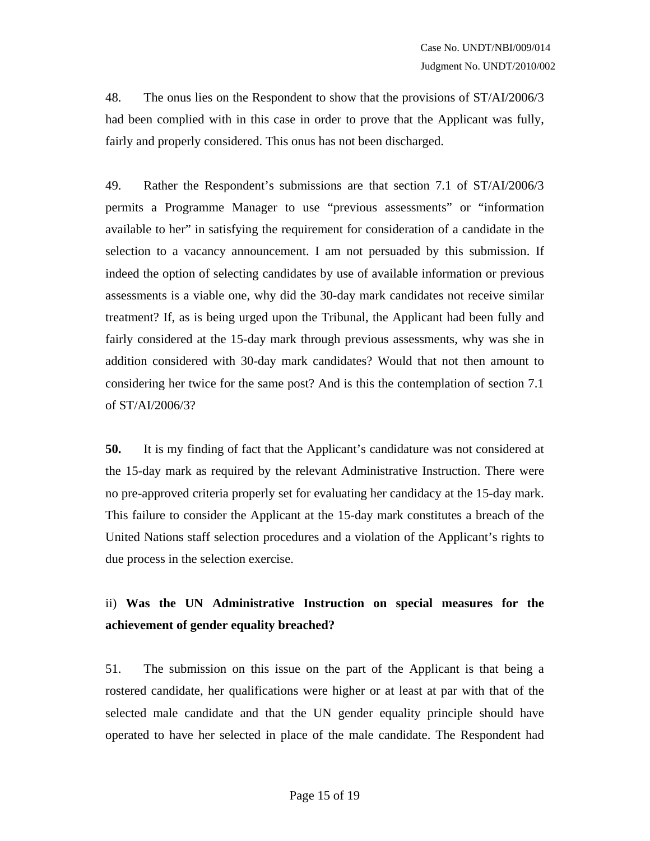48. The onus lies on the Respondent to show that the provisions of ST/AI/2006/3 had been complied with in this case in order to prove that the Applicant was fully, fairly and properly considered. This onus has not been discharged.

49. Rather the Respondent's submissions are that section 7.1 of ST/AI/2006/3 permits a Programme Manager to use "previous assessments" or "information available to her" in satisfying the requirement for consideration of a candidate in the selection to a vacancy announcement. I am not persuaded by this submission. If indeed the option of selecting candidates by use of available information or previous assessments is a viable one, why did the 30-day mark candidates not receive similar treatment? If, as is being urged upon the Tribunal, the Applicant had been fully and fairly considered at the 15-day mark through previous assessments, why was she in addition considered with 30-day mark candidates? Would that not then amount to considering her twice for the same post? And is this the contemplation of section 7.1 of ST/AI/2006/3?

**50.** It is my finding of fact that the Applicant's candidature was not considered at the 15-day mark as required by the relevant Administrative Instruction. There were no pre-approved criteria properly set for evaluating her candidacy at the 15-day mark. This failure to consider the Applicant at the 15-day mark constitutes a breach of the United Nations staff selection procedures and a violation of the Applicant's rights to due process in the selection exercise.

# ii) **Was the UN Administrative Instruction on special measures for the achievement of gender equality breached?**

51. The submission on this issue on the part of the Applicant is that being a rostered candidate, her qualifications were higher or at least at par with that of the selected male candidate and that the UN gender equality principle should have operated to have her selected in place of the male candidate. The Respondent had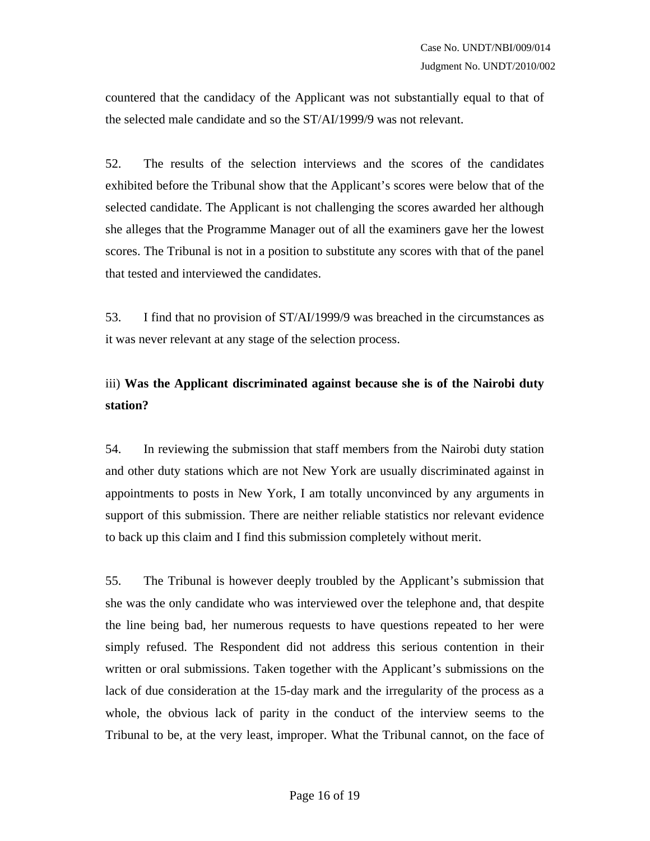countered that the candidacy of the Applicant was not substantially equal to that of the selected male candidate and so the ST/AI/1999/9 was not relevant.

52. The results of the selection interviews and the scores of the candidates exhibited before the Tribunal show that the Applicant's scores were below that of the selected candidate. The Applicant is not challenging the scores awarded her although she alleges that the Programme Manager out of all the examiners gave her the lowest scores. The Tribunal is not in a position to substitute any scores with that of the panel that tested and interviewed the candidates.

53. I find that no provision of ST/AI/1999/9 was breached in the circumstances as it was never relevant at any stage of the selection process.

## iii) **Was the Applicant discriminated against because she is of the Nairobi duty station?**

54. In reviewing the submission that staff members from the Nairobi duty station and other duty stations which are not New York are usually discriminated against in appointments to posts in New York, I am totally unconvinced by any arguments in support of this submission. There are neither reliable statistics nor relevant evidence to back up this claim and I find this submission completely without merit.

55. The Tribunal is however deeply troubled by the Applicant's submission that she was the only candidate who was interviewed over the telephone and, that despite the line being bad, her numerous requests to have questions repeated to her were simply refused. The Respondent did not address this serious contention in their written or oral submissions. Taken together with the Applicant's submissions on the lack of due consideration at the 15-day mark and the irregularity of the process as a whole, the obvious lack of parity in the conduct of the interview seems to the Tribunal to be, at the very least, improper. What the Tribunal cannot, on the face of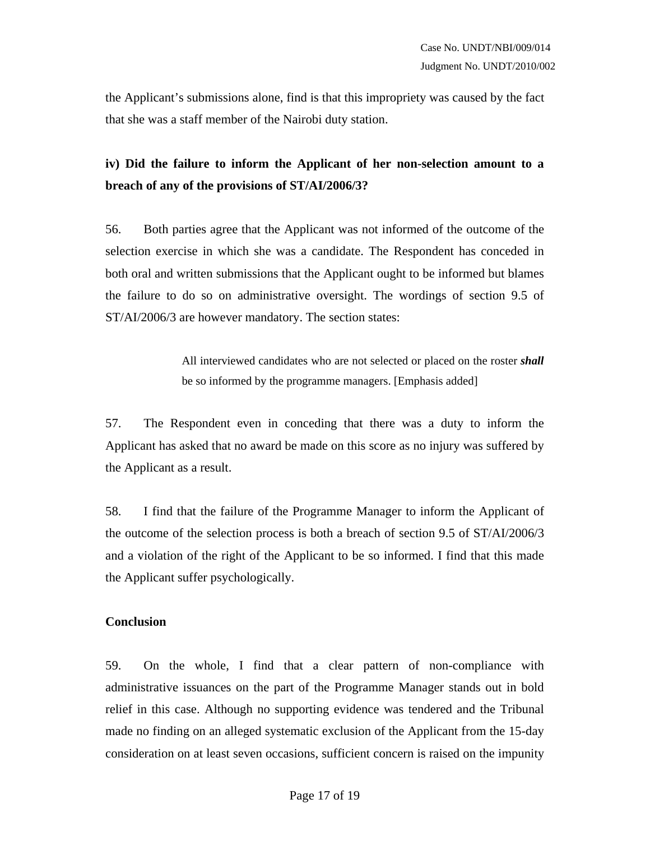the Applicant's submissions alone, find is that this impropriety was caused by the fact that she was a staff member of the Nairobi duty station.

## **iv) Did the failure to inform the Applicant of her non-selection amount to a breach of any of the provisions of ST/AI/2006/3?**

56. Both parties agree that the Applicant was not informed of the outcome of the selection exercise in which she was a candidate. The Respondent has conceded in both oral and written submissions that the Applicant ought to be informed but blames the failure to do so on administrative oversight. The wordings of section 9.5 of ST/AI/2006/3 are however mandatory. The section states:

> All interviewed candidates who are not selected or placed on the roster *shall* be so informed by the programme managers. [Emphasis added]

57. The Respondent even in conceding that there was a duty to inform the Applicant has asked that no award be made on this score as no injury was suffered by the Applicant as a result.

58. I find that the failure of the Programme Manager to inform the Applicant of the outcome of the selection process is both a breach of section 9.5 of ST/AI/2006/3 and a violation of the right of the Applicant to be so informed. I find that this made the Applicant suffer psychologically.

#### **Conclusion**

59. On the whole, I find that a clear pattern of non-compliance with administrative issuances on the part of the Programme Manager stands out in bold relief in this case. Although no supporting evidence was tendered and the Tribunal made no finding on an alleged systematic exclusion of the Applicant from the 15-day consideration on at least seven occasions, sufficient concern is raised on the impunity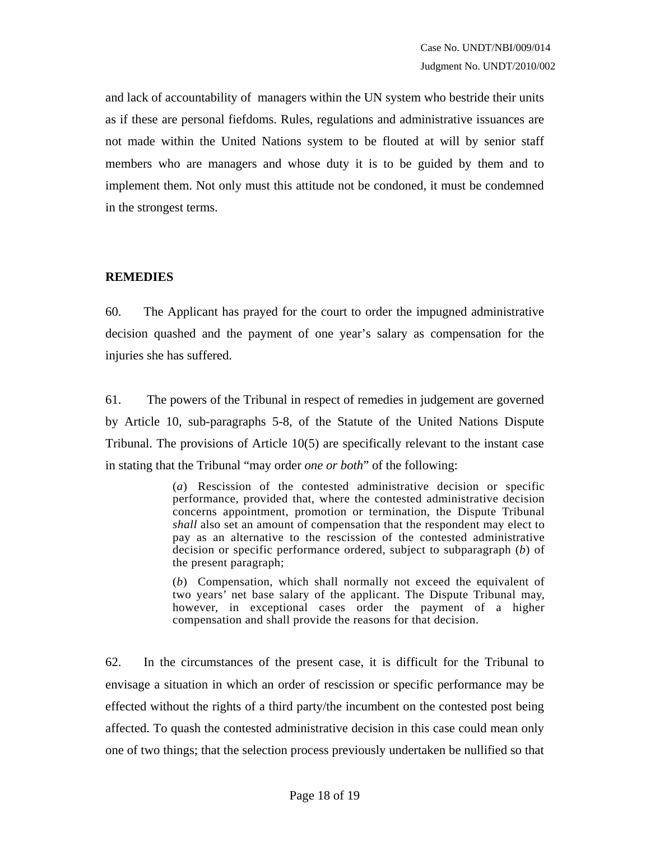and lack of accountability of managers within the UN system who bestride their units as if these are personal fiefdoms. Rules, regulations and administrative issuances are not made within the United Nations system to be flouted at will by senior staff members who are managers and whose duty it is to be guided by them and to implement them. Not only must this attitude not be condoned, it must be condemned in the strongest terms.

### **REMEDIES**

60. The Applicant has prayed for the court to order the impugned administrative decision quashed and the payment of one year's salary as compensation for the injuries she has suffered.

61. The powers of the Tribunal in respect of remedies in judgement are governed by Article 10, sub-paragraphs 5-8, of the Statute of the United Nations Dispute Tribunal. The provisions of Article 10(5) are specifically relevant to the instant case in stating that the Tribunal "may order *one or both*" of the following:

> (*a*) Rescission of the contested administrative decision or specific performance, provided that, where the contested administrative decision concerns appointment, promotion or termination, the Dispute Tribunal *shall* also set an amount of compensation that the respondent may elect to pay as an alternative to the rescission of the contested administrative decision or specific performance ordered, subject to subparagraph (*b*) of the present paragraph;

> (*b*) Compensation, which shall normally not exceed the equivalent of two years' net base salary of the applicant. The Dispute Tribunal may, however, in exceptional cases order the payment of a higher compensation and shall provide the reasons for that decision.

62. In the circumstances of the present case, it is difficult for the Tribunal to envisage a situation in which an order of rescission or specific performance may be effected without the rights of a third party/the incumbent on the contested post being affected. To quash the contested administrative decision in this case could mean only one of two things; that the selection process previously undertaken be nullified so that